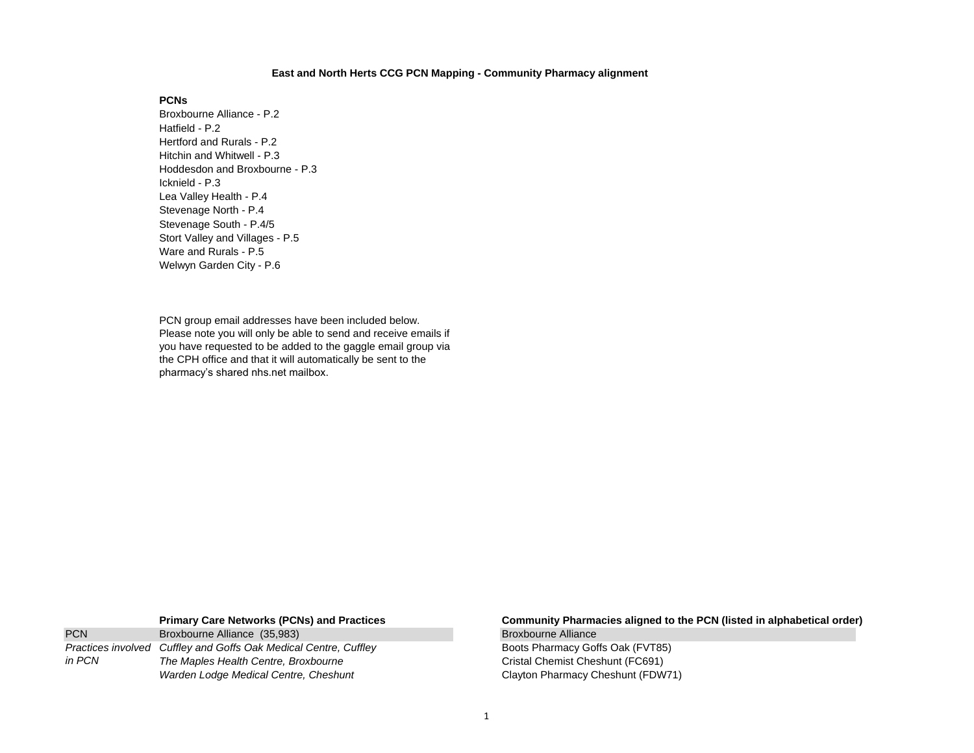## **East and North Herts CCG PCN Mapping - Community Pharmacy alignment**

# **PCNs**

Broxbourne Alliance - P.2 Hatfield - P.2 Hertford and Rurals - P.2 Hitchin and Whitwell - P.3 Hoddesdon and Broxbourne - P.3 Icknield - P.3 Lea Valley Health - P.4 Stevenage North - P.4 Stevenage South - P.4/5 Stort Valley and Villages - P.5 Ware and Rurals - P.5 Welwyn Garden City - P.6

PCN group email addresses have been included below. Please note you will only be able to send and receive emails if you have requested to be added to the gaggle email group via the CPH office and that it will automatically be sent to the pharmacy's shared nhs.net mailbox.

| <b>PCN</b> | Broxbourne Alliance (35,983)                                     |  |
|------------|------------------------------------------------------------------|--|
|            | Practices involved Cuffley and Goffs Oak Medical Centre, Cuffley |  |
| in PCN     | The Maples Health Centre, Broxbourne                             |  |
|            | Warden Lodge Medical Centre, Cheshunt                            |  |

## **Primary Care Networks (PCNs) and Practices Community Pharmacies aligned to the PCN (listed in alphabetical order)** Broxbourne Alliance

Boots Pharmacy Goffs Oak (FVT85) **Cristal Chemist Cheshunt (FC691) Clayton Pharmacy Cheshunt (FDW71)**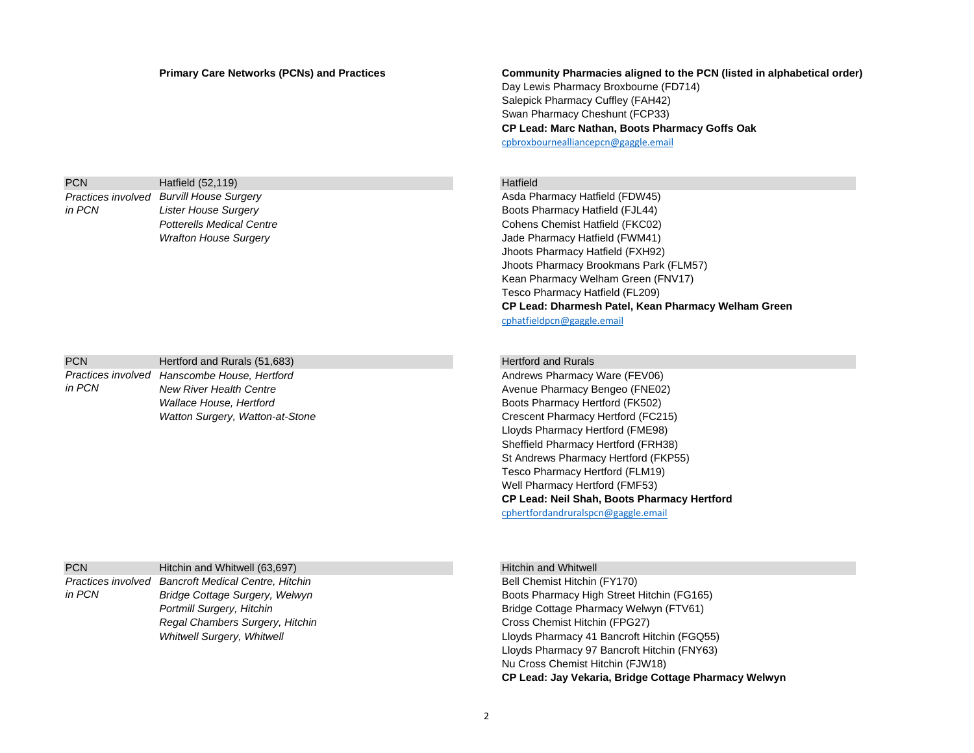# **Primary Care Networks (PCNs) and Practices Community Pharmacies aligned to the PCN (listed in alphabetical order)** Day Lewis Pharmacy Broxbourne (FD714) Salepick Pharmacy Cuffley (FAH42) Swan Pharmacy Cheshunt (FCP33) **CP Lead: Marc Nathan, Boots Pharmacy Goffs Oak** [cpbroxbournealliancepcn@gaggle.email](mailto:cpbroxbournealliancepcn@gaggle.email)

PCN Hatfield (52,119) **Hatfield** (52,119)

Asda Pharmacy Hatfield (FDW45) *Lister House Surgery* Boots Pharmacy Hatfield (FJL44) **Potterells Medical Centre** Cohens Chemist Hatfield (FKC02) *Wrafton House Surgery* Jade Pharmacy Hatfield (FWM41) Jhoots Pharmacy Hatfield (FXH92) Jhoots Pharmacy Brookmans Park (FLM57) Kean Pharmacy Welham Green (FNV17) Tesco Pharmacy Hatfield (FL209) **CP Lead: Dharmesh Patel, Kean Pharmacy Welham Green** [cphatfieldpcn@gaggle.email](mailto:cphatfieldpcn@gaggle.email)

PCN Hertford and Rurals (51,683) Hertford and Rurals (51,683)

Andrews Pharmacy Ware (FEV06) **New River Health Centre Avenue Pharmacy Bengeo (FNE02) Avenue Pharmacy Bengeo (FNE02) Wallace House, Hertford Community Community Community Community Boots Pharmacy Hertford (FK502)** Watton Surgery, Watton-at-Stone Crescent Pharmacy Hertford (FC215) Lloyds Pharmacy Hertford (FME98) Sheffield Pharmacy Hertford (FRH38) St Andrews Pharmacy Hertford (FKP55) Tesco Pharmacy Hertford (FLM19) Well Pharmacy Hertford (FMF53) **CP Lead: Neil Shah, Boots Pharmacy Hertford** [cphertfordandruralspcn@gaggle.email](mailto:cphertfordandruralspcn@gaggle.email)

PCN Hitchin and Whitwell (63,697) Hitchin and Whitwell (63,697) *Practices involved Cancroft Medical Centre, Hitchin* **Chemist Hitchin (FY170) Bell Chemist Hitchin (FY170)** *Regal Chambers Surgery, Hitchin* Cross Chemist Hitchin (FPG27) *in PCN*

*Practices involved* 

*Practices involved* 

*in PCN*

*in PCN*

**Bridge Cottage Surgery, Welwyn Boots Pharmacy High Street Hitchin (FG165)** Boots Pharmacy High Street Hitchin (FG165) **Portmill Surgery, Hitchin Bridge Cottage Pharmacy Welwyn (FTV61)** Bridge Cottage Pharmacy Welwyn (FTV61) Whitwell Surgery, Whitwell **Littlering Communist Clubs** Lloyds Pharmacy 41 Bancroft Hitchin (FGQ55) Lloyds Pharmacy 97 Bancroft Hitchin (FNY63) Nu Cross Chemist Hitchin (FJW18) **CP Lead: Jay Vekaria, Bridge Cottage Pharmacy Welwyn**

2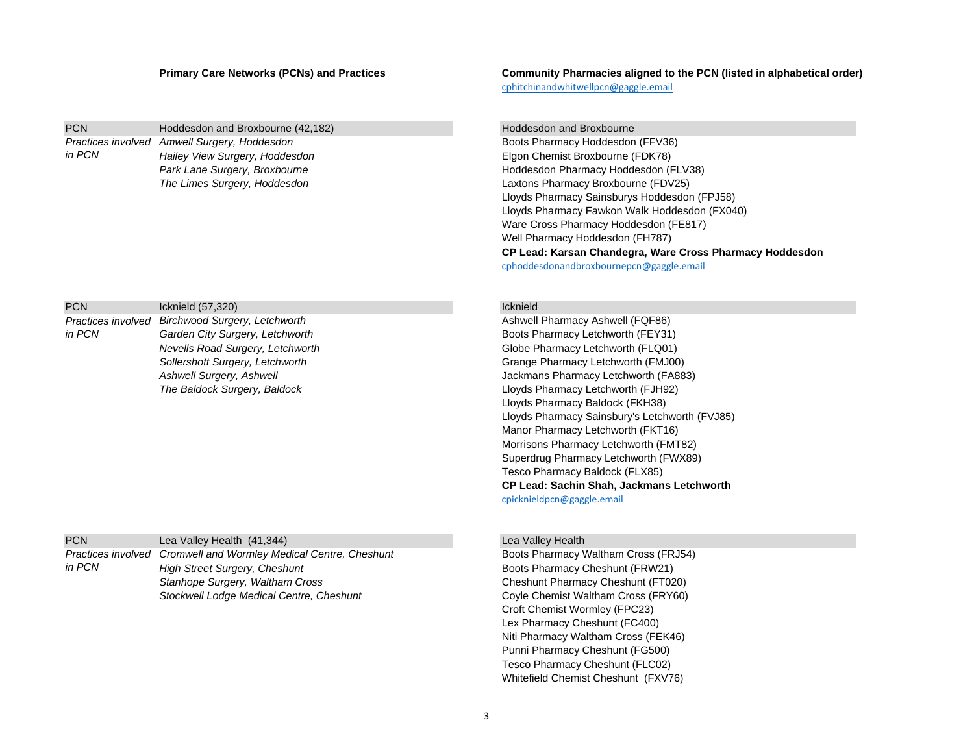# PCN Hoddesdon and Broxbourne (42,182) Hoddesdon and Broxbourne (42,182) *Hailey View Surgery, Hoddesdon* Elgon Chemist Broxbourne (FDK78) *Practices involved in PCN*

| <b>PCN</b> | Icknield (57,320)                                | Icknield |
|------------|--------------------------------------------------|----------|
|            | Practices involved Birchwood Surgery, Letchworth | Ashwell  |
| in PCN     | Garden City Surgery, Letchworth                  | Boots P  |
|            | Nevells Road Surgery, Letchworth                 | Globe F  |
|            | Sollershott Surgery, Letchworth                  | Grange   |
|            | Ashwell Surgery, Ashwell                         | Jackma   |
|            | The Baldock Surgery, Baldock                     | Lloyds I |

| <b>PCN</b> | Lea Valley Health (41,344)                                       |
|------------|------------------------------------------------------------------|
|            | Practices involved Cromwell and Wormley Medical Centre, Cheshunt |
| in PCN     | High Street Surgery, Cheshunt                                    |
|            | Stanhope Surgery, Waltham Cross                                  |
|            | Stockwell Lodge Medical Centre, Cheshunt                         |

**Primary Care Networks (PCNs) and Practices Community Pharmacies aligned to the PCN (listed in alphabetical order)** [cphitchinandwhitwellpcn@gaggle.email](mailto:cphitchinandwhitwellpcn@gaggle.email)

**Boots Pharmacy Hoddesdon (FFV36)** Park Lane Surgery, Broxbourne **Mark Lane Surgery, Broxbourne Hoddesdon Pharmacy Hoddesdon (FLV38)** *The Limes Surgery, Hoddesdon* Laxtons Pharmacy Broxbourne (FDV25) Lloyds Pharmacy Sainsburys Hoddesdon (FPJ58) Lloyds Pharmacy Fawkon Walk Hoddesdon (FX040) Ware Cross Pharmacy Hoddesdon (FE817) Well Pharmacy Hoddesdon (FH787) **CP Lead: Karsan Chandegra, Ware Cross Pharmacy Hoddesdon**

[cphoddesdonandbroxbournepcn@gaggle.email](mailto:cphoddesdonandbroxbournepcn@gaggle.email)

Ashwell Pharmacy Ashwell (FQF86) **Boots Pharmacy Letchworth (FEY31)** Globe Pharmacy Letchworth (FLQ01) *Sollershott Surgery, Letchworth* Grange Pharmacy Letchworth (FMJ00) Jackmans Pharmacy Letchworth (FA883) Lloyds Pharmacy Letchworth (FJH92) Lloyds Pharmacy Baldock (FKH38) Lloyds Pharmacy Sainsbury's Letchworth (FVJ85) Manor Pharmacy Letchworth (FKT16) Morrisons Pharmacy Letchworth (FMT82) Superdrug Pharmacy Letchworth (FWX89) Tesco Pharmacy Baldock (FLX85) **CP Lead: Sachin Shah, Jackmans Letchworth** [cpicknieldpcn@gaggle.email](mailto:cpicknieldpcn@gaggle.email)

## Lea Valley Health

*Cromwell and Wormley Medical Centre, Cheshunt* Boots Pharmacy Waltham Cross (FRJ54) **Boots Pharmacy Cheshunt (FRW21) Cheshunt Pharmacy Cheshunt (FT020)** Coyle Chemist Waltham Cross (FRY60) Croft Chemist Wormley (FPC23) Lex Pharmacy Cheshunt (FC400) Niti Pharmacy Waltham Cross (FEK46) Punni Pharmacy Cheshunt (FG500) Tesco Pharmacy Cheshunt (FLC02) Whitefield Chemist Cheshunt (FXV76)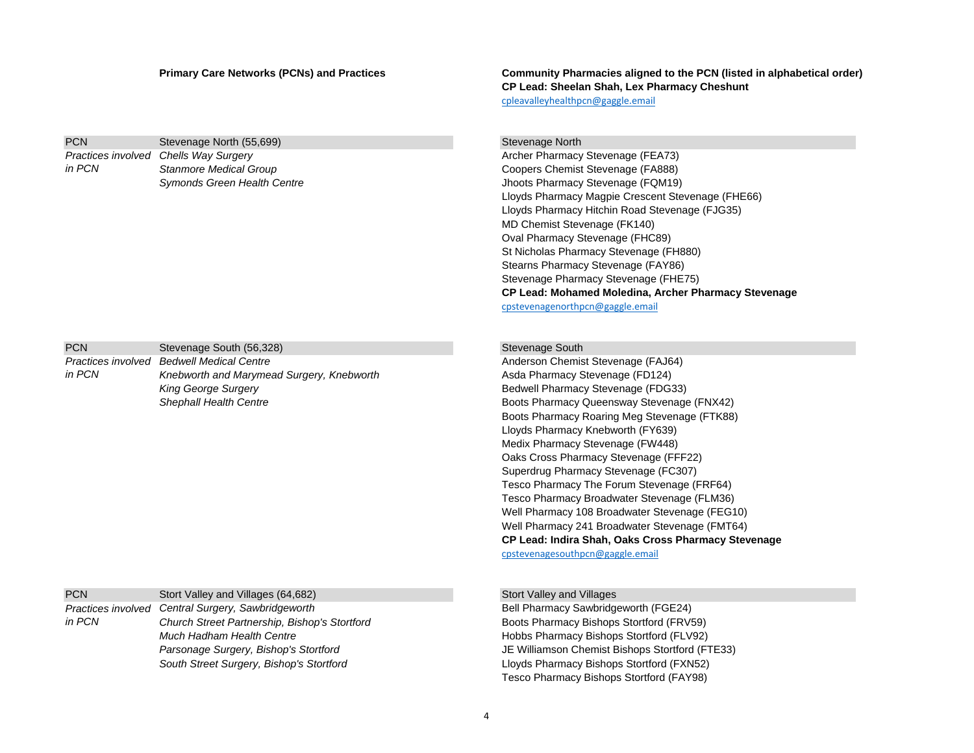**PCN** Stevenage North (55,699) Stevenage North (55,699) *Practices involved in PCN*

| <b>PCN</b> | Stevenage South (56,328)                  |
|------------|-------------------------------------------|
|            | Practices involved Bedwell Medical Centre |
| in PCN     | Knebworth and Marymead Surgery, Knebworth |
|            | <b>King George Surgery</b>                |
|            | Shephall Health Centre                    |

PCN Stort Valley and Villages (64,682) Stort Valley and Villages (64,682) *Church Street Partnership, Bishop's Stortford* Boots Pharmacy Bishops Stortford (FRV59) *Much Hadham Health Centre* **Hobbs Pharmacy Bishops Stortford (FLV92)** Hobbs Pharmacy Bishops Stortford (FLV92) *Parsonage Surgery, Bishop's Stortford* JE Williamson Chemist Bishops Stortford (FTE33) *South Street Surgery, Bishop's Stortford* Lloyds Pharmacy Bishops Stortford (FXN52) *Practices involved in PCN*

**Primary Care Networks (PCNs) and Practices Community Pharmacies aligned to the PCN (listed in alphabetical order) CP Lead: Sheelan Shah, Lex Pharmacy Cheshunt** [cpleavalleyhealthpcn@gaggle.email](mailto:cpleavalleyhealthpcn@gaggle.email)

Archer Pharmacy Stevenage (FEA73) **Stanmore Medical Group Coopers Chemist Stevenage (FA888) Symonds Green Health Centre Jhoots Pharmacy Stevenage (FQM19)** Jhoots Pharmacy Stevenage (FQM19) Lloyds Pharmacy Magpie Crescent Stevenage (FHE66) Lloyds Pharmacy Hitchin Road Stevenage (FJG35) MD Chemist Stevenage (FK140) Oval Pharmacy Stevenage (FHC89) St Nicholas Pharmacy Stevenage (FH880) Stearns Pharmacy Stevenage (FAY86) Stevenage Pharmacy Stevenage (FHE75) **CP Lead: Mohamed Moledina, Archer Pharmacy Stevenage** [cpstevenagenorthpcn@gaggle.email](mailto:cpstevenagenorthpcn@gaggle.email)

## **Stevenage South**

Anderson Chemist Stevenage (FAJ64) Asda Pharmacy Stevenage (FD124) Bedwell Pharmacy Stevenage (FDG33) **Boots Pharmacy Queensway Stevenage (FNX42)** Boots Pharmacy Roaring Meg Stevenage (FTK88) Lloyds Pharmacy Knebworth (FY639) Medix Pharmacy Stevenage (FW448) Oaks Cross Pharmacy Stevenage (FFF22) Superdrug Pharmacy Stevenage (FC307) Tesco Pharmacy The Forum Stevenage (FRF64) Tesco Pharmacy Broadwater Stevenage (FLM36) Well Pharmacy 108 Broadwater Stevenage (FEG10) Well Pharmacy 241 Broadwater Stevenage (FMT64) **CP Lead: Indira Shah, Oaks Cross Pharmacy Stevenage** [cpstevenagesouthpcn@gaggle.email](mailto:cpstevenagesouthpcn@gaggle.email)

**Bell Pharmacy Sawbridgeworth (FGE24)** Tesco Pharmacy Bishops Stortford (FAY98)